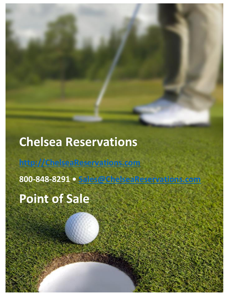# **Chelsea Reservations**

**[http://ChelseaReservations.com](http://chelseareservations.com/)**

**800-848-8291 • [Sales@ChelseaReservations.com](mailto:Sales@ChelseaReservations.com)**

POINT OF SALE – CHELSEA RESERVATIONS PAGE 1

**Point of Sale**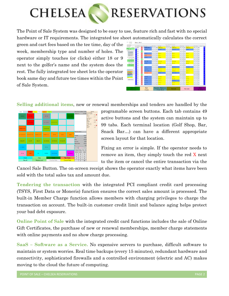

The Point of Sale System was designed to be easy to use, feature rich and fast with no special hardware or IT requirements. The integrated tee sheet automatically calculates the correct

green and cart fees based on the tee time, day of the week, membership type and number of holes. The operator simply touches (or clicks) either 18 or 9 next to the golfer's name and the system does the rest. The fully integrated tee sheet lets the operator book same day and future tee times within the Point of Sale System.

| WHERE EXAMI<br>$\sim$                    |                       | EN HOUSE BACKTINYS GOLD BACOMIN |  |               |             |                                          |                      |                                    |           |                                      |                   |                   |  |                                 |                  |                     |              |                                                |                      |                              |                  |               |  |
|------------------------------------------|-----------------------|---------------------------------|--|---------------|-------------|------------------------------------------|----------------------|------------------------------------|-----------|--------------------------------------|-------------------|-------------------|--|---------------------------------|------------------|---------------------|--------------|------------------------------------------------|----------------------|------------------------------|------------------|---------------|--|
| Epoking Spares                           |                       |                                 |  |               |             | lay 10   10   10   Ani   K. K. Kapischer | <b>Desire Destro</b> |                                    |           | <b>Ham 2 Kase</b>                    | <b>Gated Gate</b> |                   |  | <b>Republican</b>               | <b>Date Fole</b> |                     |              | <b>Angel Sarr</b>                              | <b>Geller Marine</b> |                              | <b>George St</b> | <b>Direct</b> |  |
| Titanet Citates<br>Course                | <b>OH 5 8</b>         |                                 |  |               |             | <b>C I F INTERNATIONAL</b>               | ۰.                   | $\sim$                             |           | <b>SR INFORMATION</b>                | $-1$              | ×.                |  | <b>GEN INSTRUMEDIATE</b>        |                  | $+$                 |              | <b>GO - INTIADA DAK</b>                        |                      |                              | $-1.66$          | <b>DOM</b>    |  |
| 7 Seperitorio                            |                       | <b>NAME OF</b>                  |  |               |             | <b>B. L. P. MONT MAY</b>                 | m.                   | ×.                                 |           | <b>NA NORCORRE</b>                   |                   |                   |  | <b>Building and Description</b> |                  | <b>Distances</b>    |              | <b>ARTISTS</b>                                 |                      | and the first party of       |                  |               |  |
| <b>Million</b><br><b>Gal Audit Etc.</b>  |                       | <b>SOLIDA</b>                   |  |               | 1.7         |                                          |                      | $-1 - 1 - 1 = 0$                   |           |                                      |                   | <b>Robert Law</b> |  |                                 |                  | $16 - 9 - 186$      |              |                                                |                      | Marine Banker                |                  |               |  |
| <b>EF</b> Mexico                         |                       | $0.02 - 0.07$                   |  |               |             | <b>CONTRACT Y ST</b>                     | المستوجد             | $\sim$                             |           | <b>File MORESHE</b>                  | اللتو             |                   |  | <b>C. G. HOLGAN</b>             |                  |                     |              | <b>Balling College College College College</b> |                      | $1 - 1 - 1$                  |                  |               |  |
| <b>B</b> Deskin                          | <b>BM</b> A. F        |                                 |  |               |             | <b>C. L. P. (1964 Kb)</b>                |                      | $-$                                |           | <b>Fall DISSILIA</b>                 | - ا               |                   |  | <b>King of Parties</b>          |                  |                     |              | <b>Burney Comment Comment Comment Comment</b>  |                      | $0 - 1 - 1 = 10$             |                  |               |  |
| <b>W. Park Charles McGrant</b>           | $0.01 - 0.1$          |                                 |  |               |             | <b>C. L. P. MOS.TOME</b>                 |                      | $-5 - 5$                           |           | <b>Co., NCK Car</b>                  |                   |                   |  | <b>K 4 Go KitCor</b>            |                  | All Automobile      |              | <b>Sec. MECGATI</b>                            |                      | $-3 - 3 - 36$                |                  |               |  |
| 103/8-2010<br><b>Business Press</b>      | $\alpha$ and $\alpha$ |                                 |  |               | 4117        |                                          |                      | $-5$                               | co.       |                                      |                   | $x - 1 - 2x$      |  |                                 |                  | <b>All Analysis</b> | <b>State</b> |                                                |                      | $-1 - 16$                    |                  |               |  |
| 101229-022-011<br><b>B. Grenament</b>    |                       | $0.8$ $\pm 1$                   |  |               |             | <b>C. L. F. MANY CON-</b>                |                      | $-5$                               |           | <b>Ski MAGKGHO</b>                   | $x -$             |                   |  | 4 St. RANGE                     | ALC: U           | $+$                 |              | <b>Co., MORECAN</b>                            |                      | $-1 - 1$                     |                  |               |  |
| <b>SERVICE ROOMS</b>                     |                       | $28 - 7$                        |  |               |             | <b>C C F MUSTINE</b>                     |                      | $-1 - 1$                           |           | <b>DR. NOT OUT</b>                   |                   |                   |  | R 5 GP MITCHE                   |                  | $8 - 2$             |              | <b>Sec. MESSINE</b>                            |                      | $-1 - 1 - 16$                |                  |               |  |
| <b>Q-GAE INCRANT</b><br>TESTS-127.9%     |                       | 28.87                           |  |               | 1.1.7       |                                          |                      | $-1 - 5 - 1$                       | -te       |                                      |                   | $3 - 1 - 22$      |  |                                 |                  | $8 - 2 -$           | ide.         |                                                |                      | $-3 - 2 - 28$                |                  |               |  |
|                                          |                       | <b>COMPANY</b>                  |  |               |             | <b>CASTLE A</b>                          | and in               | -                                  |           | <b>NAME AND POST</b>                 | o-l-              | se il             |  | <b>Sell-Miller, N.H.</b>        |                  | <b>Distances</b>    |              | <b>ALL POWERDING</b>                           |                      | and the contract of the con- |                  |               |  |
| teared Righting                          |                       | <b>BY ALLE</b>                  |  |               |             | <b>1. 7 EXSERTS DVDS</b>                 | m.                   | $\sim$                             |           | <b>NE DOMESTIVE</b>                  | o-l-              | And is            |  | <b>See CONSTRUCT</b>            |                  | <b>Distances</b>    |              | <b>AND CARDIOTICAL</b>                         |                      | del anno                     |                  |               |  |
| <b>Searchman</b>                         |                       | $0.14 - 1$                      |  |               |             | <b>C. L. A MEMORIA CASTLE</b>            | المستوفي             | $\epsilon$                         |           | <b>Gall High-Holder</b>              | المستهد           |                   |  | 4 Sal Riterro Sar               |                  | $\frac{1}{2}$       |              | <b>Allie ASSAMERIAN</b>                        |                      | $-1 - 1 - 10$                |                  |               |  |
| <b>King State</b><br>Adult Northancers   | <b>RR</b> 4-1         |                                 |  |               |             | 6 F / RAMI 005                           |                      | $-1 - 1$                           |           | <b>GENERAL</b>                       | $-1$              |                   |  | 4 4 RED DOM:                    |                  |                     |              | <b>Ballist Law Barn Sea</b>                    |                      | $-1 - 1 - 1$                 |                  |               |  |
| <b>Adult Focuser</b><br><b>Notened</b>   | $128$ $-1$            |                                 |  |               | $1 - 1 - 1$ |                                          |                      | $-5 - 5 -$                         | <b>CO</b> |                                      |                   | $x - 1 - 2x$      |  |                                 |                  | <b>Burney Bank</b>  | ide.         |                                                |                      | $1 - 1 - 10$                 |                  |               |  |
| <b>Northeastern</b><br><b>Sand Corp.</b> | $128 - 12$            |                                 |  |               |             | <b>C. P. P. LADSON</b>                   |                      | $-5$                               |           | <b>Co., IMSCC Car.</b>               |                   |                   |  | <b>R</b> 4 Collector            |                  | <b>All Avenue</b>   |              | <b>Sec. Indicat</b>                            |                      | $1 - 1 - 1$                  |                  |               |  |
| <b>Kill Kollections</b>                  | <b>DOM: NO</b>        |                                 |  |               |             | e celson one                             | $8 - 6$              |                                    |           | <b>GE 100.000</b>                    |                   |                   |  | <b>KIND OF BOOK</b>             | ALC: U           | $\sim$              |              | <b>Mr. McGare</b>                              |                      | $-1 - 1$                     | de-              |               |  |
|                                          |                       | <b>Delling</b>                  |  |               |             | <b>B. P. P. MINENHAMER</b>               |                      |                                    |           | <b>March 4 - Low Division Street</b> |                   |                   |  | <b>Roof for VERPERS</b>         |                  |                     |              | <b>Roman District Control</b>                  |                      | $15 - 3 - 18$                |                  |               |  |
|                                          |                       | <b>BN</b> R-F                   |  |               |             | <b>C. P. ADRONOME</b>                    | <b>Roll</b>          |                                    |           | 5 be kombar                          |                   |                   |  | <b>Rolling Lines CON Cont</b>   |                  |                     |              | <b>Room of Line Concern</b>                    |                      | $B = 3 - 100$                |                  |               |  |
|                                          | <b>Real Avenue</b>    |                                 |  |               | h.          | <b>GOV M</b>                             | ٠                    | ×.                                 |           | <b>NEW DESCRIPTION</b>               |                   |                   |  | <b>Dental Anti- 100 Kell</b>    |                  |                     |              | <b>District of the Admin Of De Lines</b>       |                      | <b>Marine Links</b>          |                  |               |  |
| Walk-in /<br>Check out                   |                       |                                 |  | Rain<br>Check |             |                                          |                      | Reports / Balances<br>/ Time Clock |           |                                      |                   | Refund            |  |                                 |                  | No Sale             |              |                                                |                      | Clear<br>Pendina             |                  |               |  |

**Selling additional items**, new or renewal memberships and tenders are handled by the



programable screen buttons. Each tab contains 49 active buttons and the system can maintain up to 99 tabs. Each terminal location (Golf Shop, Bar, Snack Bar…) can have a different appropriate screen layout for that location.

Fixing an error is simple. If the operator needs to remove an item, they simply touch the red  $X$  next to the item or cancel the entire transaction via the

Cancel Sale Button. The on-screen receipt shows the operator exactly what items have been sold with the total sales tax and amount due.

**Tendering the transaction** with the integrated PCI compliant credit card processing (TSYS, First Data or Moneris) function ensures the correct sales amount is processed. The built-in Member Charge function allows members with charging privileges to charge the transaction on account. The built-in customer credit limit and balance aging helps protect your bad debt exposure.

**Online Point of Sale** with the integrated credit card functions includes the sale of Online Gift Certificates, the purchase of new or renewal memberships, member charge statements with online payments and no show charge processing.

**SaaS – Software as a Service.** No expensive servers to purchase, difficult software to maintain or system worries. Real time backups (every 15 minutes), redundant hardware and connectivity, sophisticated firewalls and a controlled environment (electric and AC) makes moving to the cloud the future of computing.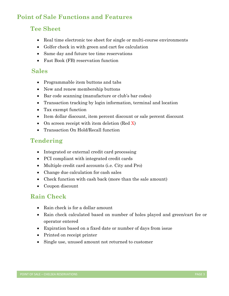# **Point of Sale Functions and Features**

## **Tee Sheet**

- Real time electronic tee sheet for single or multi-course environments
- Golfer check in with green and cart fee calculation
- Same day and future tee time reservations
- Fast Book (FB) reservation function

## **Sales**

- Programmable item buttons and tabs
- New and renew membership buttons
- Bar code scanning (manufacture or club's bar codes)
- Transaction tracking by login information, terminal and location
- Tax exempt function
- Item dollar discount, item percent discount or sale percent discount
- On screen receipt with item deletion (Red X)
- Transaction On Hold/Recall function

## **Tendering**

- Integrated or external credit card processing
- PCI compliant with integrated credit cards
- Multiple credit card accounts (i.e. City and Pro)
- Change due calculation for cash sales
- Check function with cash back (more than the sale amount)
- Coupon discount

## **Rain Check**

- Rain check is for a dollar amount
- Rain check calculated based on number of holes played and green/cart fee or operator entered
- Expiration based on a fixed date or number of days from issue
- Printed on receipt printer
- Single use, unused amount not returned to customer